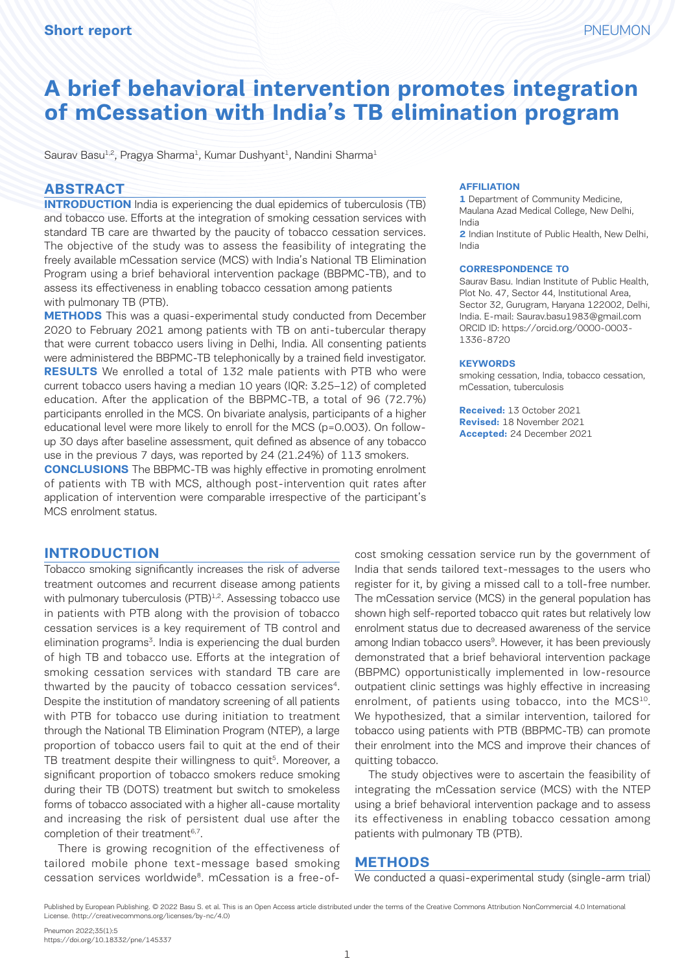# **A brief behavioral intervention promotes integration of mCessation with India's TB elimination program**

Saurav Basu<sup>1,2</sup>, Pragya Sharma<sup>1</sup>, Kumar Dushyant<sup>1</sup>, Nandini Sharma<sup>1</sup>

#### **ABSTRACT**

**INTRODUCTION** India is experiencing the dual epidemics of tuberculosis (TB) and tobacco use. Efforts at the integration of smoking cessation services with standard TB care are thwarted by the paucity of tobacco cessation services. The objective of the study was to assess the feasibility of integrating the freely available mCessation service (MCS) with India's National TB Elimination Program using a brief behavioral intervention package (BBPMC-TB), and to assess its effectiveness in enabling tobacco cessation among patients with pulmonary TB (PTB).

**METHODS** This was a quasi-experimental study conducted from December 2020 to February 2021 among patients with TB on anti-tubercular therapy that were current tobacco users living in Delhi, India. All consenting patients were administered the BBPMC-TB telephonically by a trained field investigator. **RESULTS** We enrolled a total of 132 male patients with PTB who were current tobacco users having a median 10 years (IQR: 3.25–12) of completed education. After the application of the BBPMC-TB, a total of 96 (72.7%) participants enrolled in the MCS. On bivariate analysis, participants of a higher educational level were more likely to enroll for the MCS (p=0.003). On followup 30 days after baseline assessment, quit defined as absence of any tobacco use in the previous 7 days, was reported by 24 (21.24%) of 113 smokers.

**CONCLUSIONS** The BBPMC-TB was highly effective in promoting enrolment of patients with TB with MCS, although post-intervention quit rates after application of intervention were comparable irrespective of the participant's MCS enrolment status.

#### **INTRODUCTION**

Tobacco smoking significantly increases the risk of adverse treatment outcomes and recurrent disease among patients with pulmonary tuberculosis (PTB)<sup>1,2</sup>. Assessing tobacco use in patients with PTB along with the provision of tobacco cessation services is a key requirement of TB control and elimination programs<sup>3</sup>. India is experiencing the dual burden of high TB and tobacco use. Efforts at the integration of smoking cessation services with standard TB care are thwarted by the paucity of tobacco cessation services<sup>4</sup>. Despite the institution of mandatory screening of all patients with PTB for tobacco use during initiation to treatment through the National TB Elimination Program (NTEP), a large proportion of tobacco users fail to quit at the end of their TB treatment despite their willingness to quit<sup>5</sup>. Moreover, a significant proportion of tobacco smokers reduce smoking during their TB (DOTS) treatment but switch to smokeless forms of tobacco associated with a higher all-cause mortality and increasing the risk of persistent dual use after the completion of their treatment<sup>6,7</sup>.

There is growing recognition of the effectiveness of tailored mobile phone text-message based smoking cessation services worldwide<sup>8</sup>. mCessation is a free-of-

#### **AFFILIATION**

**1** Department of Community Medicine, Maulana Azad Medical College, New Delhi, India

**2** Indian Institute of Public Health, New Delhi, India

#### **CORRESPONDENCE TO**

Saurav Basu. Indian Institute of Public Health, Plot No. 47, Sector 44, Institutional Area, Sector 32, Gurugram, Haryana 122002, Delhi, India. E-mail: Saurav.basu1983@gmail.com ORCID ID: https://orcid.org/0000-0003- 1336-8720

#### **KEYWORDS**

smoking cessation, India, tobacco cessation, mCessation, tuberculosis

**Received:** 13 October 2021 **Revised:** 18 November 2021 **Accepted:** 24 December 2021

cost smoking cessation service run by the government of India that sends tailored text-messages to the users who register for it, by giving a missed call to a toll-free number. The mCessation service (MCS) in the general population has shown high self-reported tobacco quit rates but relatively low enrolment status due to decreased awareness of the service among Indian tobacco users<sup>9</sup>. However, it has been previously demonstrated that a brief behavioral intervention package (BBPMC) opportunistically implemented in low-resource outpatient clinic settings was highly effective in increasing enrolment, of patients using tobacco, into the MCS<sup>10</sup>. We hypothesized, that a similar intervention, tailored for tobacco using patients with PTB (BBPMC-TB) can promote their enrolment into the MCS and improve their chances of quitting tobacco.

The study objectives were to ascertain the feasibility of integrating the mCessation service (MCS) with the NTEP using a brief behavioral intervention package and to assess its effectiveness in enabling tobacco cessation among patients with pulmonary TB (PTB).

#### **METHODS**

We conducted a quasi-experimental study (single-arm trial)

Published by European Publishing. © 2022 Basu S. et al. This is an Open Access article distributed under the terms of the Creative Commons Attribution NonCommercial 4.0 International License. (http://creativecommons.org/licenses/by-nc/4.0)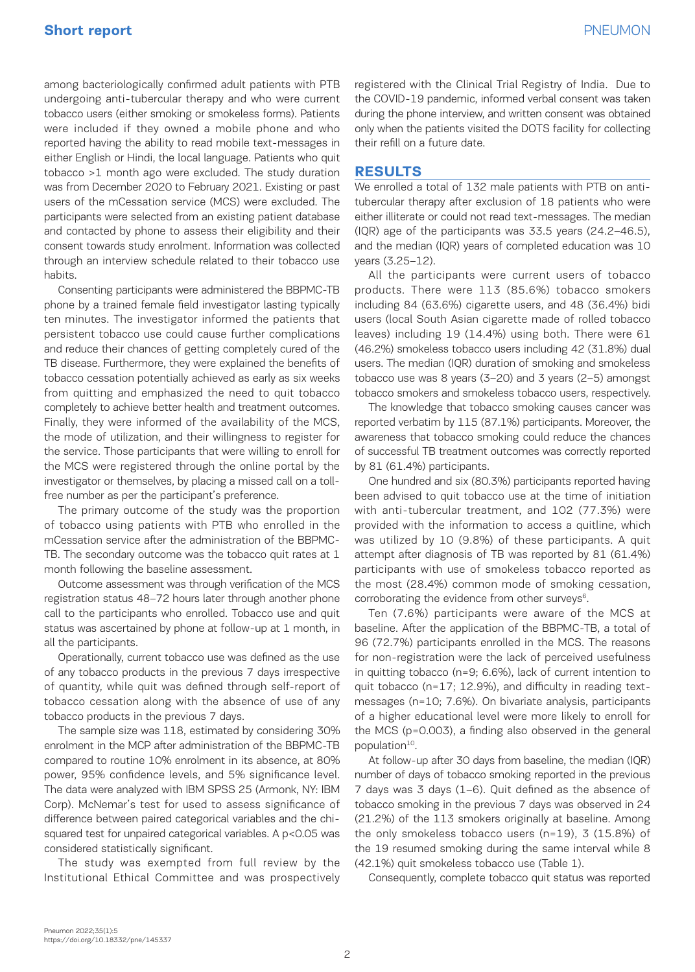among bacteriologically confirmed adult patients with PTB undergoing anti-tubercular therapy and who were current tobacco users (either smoking or smokeless forms). Patients were included if they owned a mobile phone and who reported having the ability to read mobile text-messages in either English or Hindi, the local language. Patients who quit tobacco >1 month ago were excluded. The study duration was from December 2020 to February 2021. Existing or past users of the mCessation service (MCS) were excluded. The participants were selected from an existing patient database and contacted by phone to assess their eligibility and their consent towards study enrolment. Information was collected through an interview schedule related to their tobacco use habits.

Consenting participants were administered the BBPMC-TB phone by a trained female field investigator lasting typically ten minutes. The investigator informed the patients that persistent tobacco use could cause further complications and reduce their chances of getting completely cured of the TB disease. Furthermore, they were explained the benefits of tobacco cessation potentially achieved as early as six weeks from quitting and emphasized the need to quit tobacco completely to achieve better health and treatment outcomes. Finally, they were informed of the availability of the MCS, the mode of utilization, and their willingness to register for the service. Those participants that were willing to enroll for the MCS were registered through the online portal by the investigator or themselves, by placing a missed call on a tollfree number as per the participant's preference.

The primary outcome of the study was the proportion of tobacco using patients with PTB who enrolled in the mCessation service after the administration of the BBPMC-TB. The secondary outcome was the tobacco quit rates at 1 month following the baseline assessment.

Outcome assessment was through verification of the MCS registration status 48–72 hours later through another phone call to the participants who enrolled. Tobacco use and quit status was ascertained by phone at follow-up at 1 month, in all the participants.

Operationally, current tobacco use was defined as the use of any tobacco products in the previous 7 days irrespective of quantity, while quit was defined through self-report of tobacco cessation along with the absence of use of any tobacco products in the previous 7 days.

The sample size was 118, estimated by considering 30% enrolment in the MCP after administration of the BBPMC-TB compared to routine 10% enrolment in its absence, at 80% power, 95% confidence levels, and 5% significance level. The data were analyzed with IBM SPSS 25 (Armonk, NY: IBM Corp). McNemar's test for used to assess significance of difference between paired categorical variables and the chisquared test for unpaired categorical variables. A p<0.05 was considered statistically significant.

The study was exempted from full review by the Institutional Ethical Committee and was prospectively registered with the Clinical Trial Registry of India. Due to the COVID-19 pandemic, informed verbal consent was taken during the phone interview, and written consent was obtained only when the patients visited the DOTS facility for collecting their refill on a future date.

## **RESULTS**

We enrolled a total of 132 male patients with PTB on antitubercular therapy after exclusion of 18 patients who were either illiterate or could not read text-messages. The median (IQR) age of the participants was 33.5 years (24.2–46.5), and the median (IQR) years of completed education was 10 years (3.25–12).

All the participants were current users of tobacco products. There were 113 (85.6%) tobacco smokers including 84 (63.6%) cigarette users, and 48 (36.4%) bidi users (local South Asian cigarette made of rolled tobacco leaves) including 19 (14.4%) using both. There were 61 (46.2%) smokeless tobacco users including 42 (31.8%) dual users. The median (IQR) duration of smoking and smokeless tobacco use was 8 years (3–20) and 3 years (2–5) amongst tobacco smokers and smokeless tobacco users, respectively.

The knowledge that tobacco smoking causes cancer was reported verbatim by 115 (87.1%) participants. Moreover, the awareness that tobacco smoking could reduce the chances of successful TB treatment outcomes was correctly reported by 81 (61.4%) participants.

One hundred and six (80.3%) participants reported having been advised to quit tobacco use at the time of initiation with anti-tubercular treatment, and 102 (77.3%) were provided with the information to access a quitline, which was utilized by 10 (9.8%) of these participants. A quit attempt after diagnosis of TB was reported by 81 (61.4%) participants with use of smokeless tobacco reported as the most (28.4%) common mode of smoking cessation, corroborating the evidence from other surveys $6$ .

Ten (7.6%) participants were aware of the MCS at baseline. After the application of the BBPMC-TB, a total of 96 (72.7%) participants enrolled in the MCS. The reasons for non-registration were the lack of perceived usefulness in quitting tobacco (n=9; 6.6%), lack of current intention to quit tobacco (n=17; 12.9%), and difficulty in reading textmessages (n=10; 7.6%). On bivariate analysis, participants of a higher educational level were more likely to enroll for the MCS (p=0.003), a finding also observed in the general population<sup>10</sup>.

At follow-up after 30 days from baseline, the median (IQR) number of days of tobacco smoking reported in the previous 7 days was 3 days (1–6). Quit defined as the absence of tobacco smoking in the previous 7 days was observed in 24 (21.2%) of the 113 smokers originally at baseline. Among the only smokeless tobacco users (n=19), 3 (15.8%) of the 19 resumed smoking during the same interval while 8 (42.1%) quit smokeless tobacco use (Table 1).

Consequently, complete tobacco quit status was reported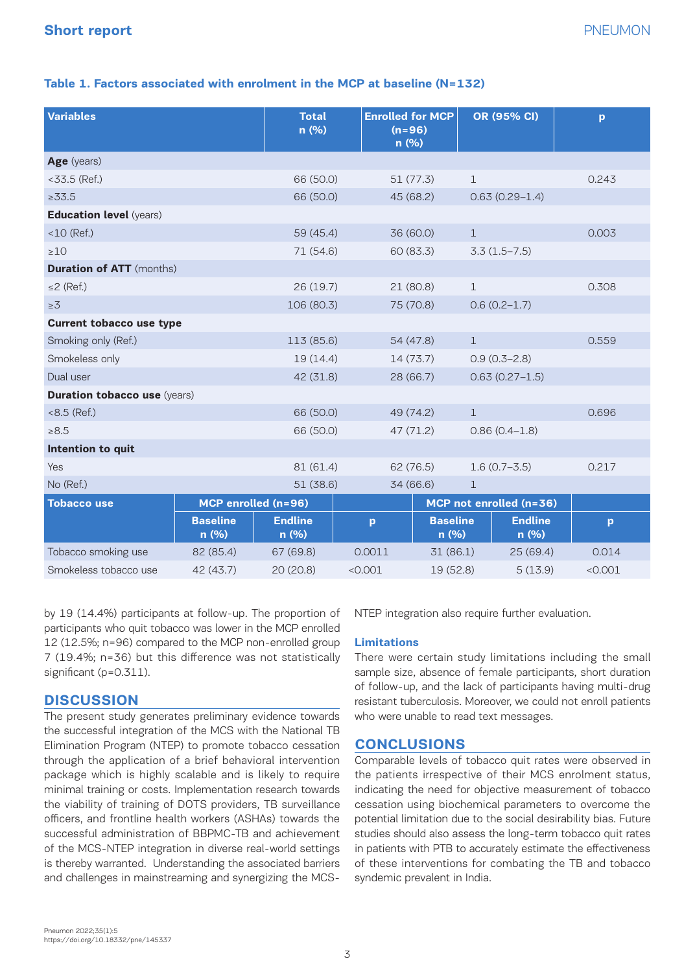## **Table 1. Factors associated with enrolment in the MCP at baseline (N=132)**

| <b>Variables</b>                    |                          | <b>Total</b><br>n (%)   | <b>Enrolled for MCP</b><br>$(n=96)$<br>n(%) |                         | OR (95% CI)             | p       |
|-------------------------------------|--------------------------|-------------------------|---------------------------------------------|-------------------------|-------------------------|---------|
| Age (years)                         |                          |                         |                                             |                         |                         |         |
| $<$ 33.5 (Ref.)                     |                          | 66 (50.0)               | 51 (77.3)                                   | $\mathbf{1}$            |                         | 0.243   |
| $\ge 33.5$                          |                          | 66 (50.0)               | 45 (68.2)                                   |                         | $0.63(0.29-1.4)$        |         |
| <b>Education level (years)</b>      |                          |                         |                                             |                         |                         |         |
| $<$ 10 (Ref.)                       |                          | 59 (45.4)               | 36 (60.0)                                   | $\mathbf{1}$            |                         | 0.003   |
| $\geq 10$                           |                          | 71 (54.6)               | 60 (83.3)                                   |                         | $3.3(1.5 - 7.5)$        |         |
| <b>Duration of ATT</b> (months)     |                          |                         |                                             |                         |                         |         |
| $\leq$ (Ref.)                       |                          | 26 (19.7)               | 21(80.8)                                    | $\mathbf{1}$            |                         | 0.308   |
| $\geq 3$                            |                          | 106 (80.3)              | 75 (70.8)                                   |                         | $0.6(0.2 - 1.7)$        |         |
| <b>Current tobacco use type</b>     |                          |                         |                                             |                         |                         |         |
| Smoking only (Ref.)                 |                          | 113 (85.6)              | 54 (47.8)                                   | $\mathbf{1}$            |                         | 0.559   |
| Smokeless only                      |                          | 19(14.4)                | 14(73.7)                                    |                         | $0.9(0.3 - 2.8)$        |         |
| Dual user                           |                          | 42 (31.8)               | 28 (66.7)                                   |                         | $0.63(0.27 - 1.5)$      |         |
| <b>Duration tobacco use (years)</b> |                          |                         |                                             |                         |                         |         |
| $<8.5$ (Ref.)                       |                          |                         | 66 (50.0)<br>49 (74.2)                      |                         |                         | 0.696   |
| >8.5                                |                          | 66 (50.0)               | 47 (71.2)                                   | $0.86(0.4-1.8)$         |                         |         |
| Intention to quit                   |                          |                         |                                             |                         |                         |         |
| Yes                                 |                          | 81 (61.4)               | 62 (76.5)                                   |                         | $1.6(0.7 - 3.5)$        |         |
| No (Ref.)                           |                          | 51(38.6)                | 34 (66.6)                                   | $\mathbf{1}$            |                         |         |
| <b>Tobacco use</b>                  | MCP enrolled (n=96)      |                         |                                             | MCP not enrolled (n=36) |                         |         |
|                                     | <b>Baseline</b><br>n (%) | <b>Endline</b><br>n (%) | p                                           | <b>Baseline</b><br>n(%) | <b>Endline</b><br>n (%) | p       |
| Tobacco smoking use                 | 82 (85.4)                | 67 (69.8)               | 0.0011                                      | 31 (86.1)               | 25 (69.4)               | 0.014   |
| Smokeless tobacco use               | 42 (43.7)                | 20(20.8)                | < 0.001                                     | 19 (52.8)               | 5(13.9)                 | < 0.001 |

by 19 (14.4%) participants at follow-up. The proportion of participants who quit tobacco was lower in the MCP enrolled 12 (12.5%; n=96) compared to the MCP non-enrolled group 7 (19.4%; n=36) but this difference was not statistically significant (p=0.311).

## **DISCUSSION**

The present study generates preliminary evidence towards the successful integration of the MCS with the National TB Elimination Program (NTEP) to promote tobacco cessation through the application of a brief behavioral intervention package which is highly scalable and is likely to require minimal training or costs. Implementation research towards the viability of training of DOTS providers, TB surveillance officers, and frontline health workers (ASHAs) towards the successful administration of BBPMC-TB and achievement of the MCS-NTEP integration in diverse real-world settings is thereby warranted. Understanding the associated barriers and challenges in mainstreaming and synergizing the MCS-

NTEP integration also require further evaluation.

#### **Limitations**

There were certain study limitations including the small sample size, absence of female participants, short duration of follow-up, and the lack of participants having multi-drug resistant tuberculosis. Moreover, we could not enroll patients who were unable to read text messages.

#### **CONCLUSIONS**

Comparable levels of tobacco quit rates were observed in the patients irrespective of their MCS enrolment status, indicating the need for objective measurement of tobacco cessation using biochemical parameters to overcome the potential limitation due to the social desirability bias. Future studies should also assess the long-term tobacco quit rates in patients with PTB to accurately estimate the effectiveness of these interventions for combating the TB and tobacco syndemic prevalent in India.